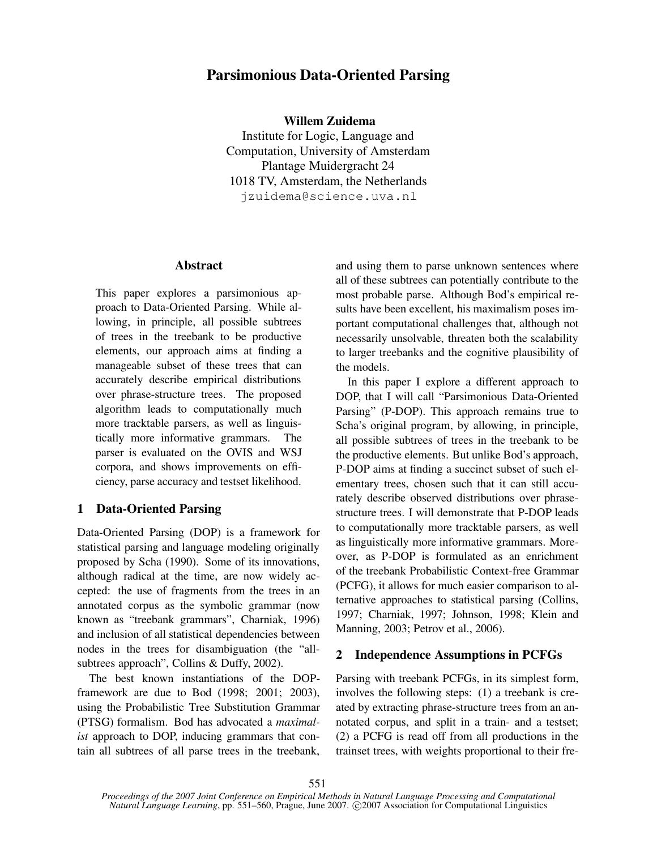# **Parsimonious Data-Oriented Parsing**

**Willem Zuidema**

Institute for Logic, Language and Computation, University of Amsterdam Plantage Muidergracht 24 1018 TV, Amsterdam, the Netherlands jzuidema@science.uva.nl

### **Abstract**

This paper explores a parsimonious approach to Data-Oriented Parsing. While allowing, in principle, all possible subtrees of trees in the treebank to be productive elements, our approach aims at finding a manageable subset of these trees that can accurately describe empirical distributions over phrase-structure trees. The proposed algorithm leads to computationally much more tracktable parsers, as well as linguistically more informative grammars. The parser is evaluated on the OVIS and WSJ corpora, and shows improvements on efficiency, parse accuracy and testset likelihood.

## **1 Data-Oriented Parsing**

Data-Oriented Parsing (DOP) is a framework for statistical parsing and language modeling originally proposed by Scha (1990). Some of its innovations, although radical at the time, are now widely accepted: the use of fragments from the trees in an annotated corpus as the symbolic grammar (now known as "treebank grammars", Charniak, 1996) and inclusion of all statistical dependencies between nodes in the trees for disambiguation (the "allsubtrees approach", Collins & Duffy, 2002).

The best known instantiations of the DOPframework are due to Bod (1998; 2001; 2003), using the Probabilistic Tree Substitution Grammar (PTSG) formalism. Bod has advocated a *maximalist* approach to DOP, inducing grammars that contain all subtrees of all parse trees in the treebank,

and using them to parse unknown sentences where all of these subtrees can potentially contribute to the most probable parse. Although Bod's empirical results have been excellent, his maximalism poses important computational challenges that, although not necessarily unsolvable, threaten both the scalability to larger treebanks and the cognitive plausibility of the models.

In this paper I explore a different approach to DOP, that I will call "Parsimonious Data-Oriented Parsing" (P-DOP). This approach remains true to Scha's original program, by allowing, in principle, all possible subtrees of trees in the treebank to be the productive elements. But unlike Bod's approach, P-DOP aims at finding a succinct subset of such elementary trees, chosen such that it can still accurately describe observed distributions over phrasestructure trees. I will demonstrate that P-DOP leads to computationally more tracktable parsers, as well as linguistically more informative grammars. Moreover, as P-DOP is formulated as an enrichment of the treebank Probabilistic Context-free Grammar (PCFG), it allows for much easier comparison to alternative approaches to statistical parsing (Collins, 1997; Charniak, 1997; Johnson, 1998; Klein and Manning, 2003; Petrov et al., 2006).

## **2 Independence Assumptions in PCFGs**

Parsing with treebank PCFGs, in its simplest form, involves the following steps: (1) a treebank is created by extracting phrase-structure trees from an annotated corpus, and split in a train- and a testset; (2) a PCFG is read off from all productions in the trainset trees, with weights proportional to their fre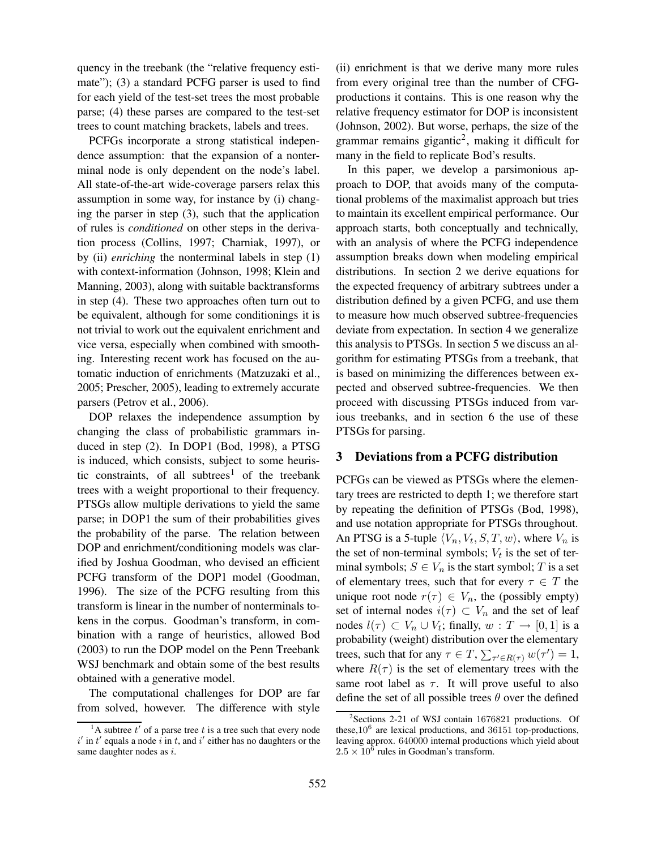quency in the treebank (the "relative frequency estimate"); (3) a standard PCFG parser is used to find for each yield of the test-set trees the most probable parse; (4) these parses are compared to the test-set trees to count matching brackets, labels and trees.

PCFGs incorporate a strong statistical independence assumption: that the expansion of a nonterminal node is only dependent on the node's label. All state-of-the-art wide-coverage parsers relax this assumption in some way, for instance by (i) changing the parser in step (3), such that the application of rules is *conditioned* on other steps in the derivation process (Collins, 1997; Charniak, 1997), or by (ii) *enriching* the nonterminal labels in step (1) with context-information (Johnson, 1998; Klein and Manning, 2003), along with suitable backtransforms in step (4). These two approaches often turn out to be equivalent, although for some conditionings it is not trivial to work out the equivalent enrichment and vice versa, especially when combined with smoothing. Interesting recent work has focused on the automatic induction of enrichments (Matzuzaki et al., 2005; Prescher, 2005), leading to extremely accurate parsers (Petrov et al., 2006).

DOP relaxes the independence assumption by changing the class of probabilistic grammars induced in step (2). In DOP1 (Bod, 1998), a PTSG is induced, which consists, subject to some heuristic constraints, of all subtrees<sup>1</sup> of the treebank trees with a weight proportional to their frequency. PTSGs allow multiple derivations to yield the same parse; in DOP1 the sum of their probabilities gives the probability of the parse. The relation between DOP and enrichment/conditioning models was clarified by Joshua Goodman, who devised an efficient PCFG transform of the DOP1 model (Goodman, 1996). The size of the PCFG resulting from this transform is linear in the number of nonterminals tokens in the corpus. Goodman's transform, in combination with a range of heuristics, allowed Bod (2003) to run the DOP model on the Penn Treebank WSJ benchmark and obtain some of the best results obtained with a generative model.

The computational challenges for DOP are far from solved, however. The difference with style (ii) enrichment is that we derive many more rules from every original tree than the number of CFGproductions it contains. This is one reason why the relative frequency estimator for DOP is inconsistent (Johnson, 2002). But worse, perhaps, the size of the grammar remains gigantic<sup>2</sup>, making it difficult for many in the field to replicate Bod's results.

In this paper, we develop a parsimonious approach to DOP, that avoids many of the computational problems of the maximalist approach but tries to maintain its excellent empirical performance. Our approach starts, both conceptually and technically, with an analysis of where the PCFG independence assumption breaks down when modeling empirical distributions. In section 2 we derive equations for the expected frequency of arbitrary subtrees under a distribution defined by a given PCFG, and use them to measure how much observed subtree-frequencies deviate from expectation. In section 4 we generalize this analysis to PTSGs. In section 5 we discuss an algorithm for estimating PTSGs from a treebank, that is based on minimizing the differences between expected and observed subtree-frequencies. We then proceed with discussing PTSGs induced from various treebanks, and in section 6 the use of these PTSGs for parsing.

#### **3 Deviations from a PCFG distribution**

PCFGs can be viewed as PTSGs where the elementary trees are restricted to depth 1; we therefore start by repeating the definition of PTSGs (Bod, 1998), and use notation appropriate for PTSGs throughout. An PTSG is a 5-tuple  $\langle V_n, V_t, S, T, w \rangle$ , where  $V_n$  is the set of non-terminal symbols;  $V_t$  is the set of terminal symbols;  $S \in V_n$  is the start symbol; T is a set of elementary trees, such that for every  $\tau \in T$  the unique root node  $r(\tau) \in V_n$ , the (possibly empty) set of internal nodes  $i(\tau) \subset V_n$  and the set of leaf nodes  $l(\tau) \subset V_n \cup V_t$ ; finally,  $w: T \to [0,1]$  is a probability (weight) distribution over the elementary trees, such that for any  $\tau \in T$ ,  $\sum_{\tau' \in R(\tau)} w(\tau') = 1$ , where  $R(\tau)$  is the set of elementary trees with the same root label as  $\tau$ . It will prove useful to also define the set of all possible trees  $\theta$  over the defined

<sup>&</sup>lt;sup>1</sup>A subtree  $t'$  of a parse tree t is a tree such that every node  $i'$  in  $t'$  equals a node  $i$  in t, and  $i'$  either has no daughters or the same daughter nodes as i.

<sup>2</sup> Sections 2-21 of WSJ contain 1676821 productions. Of these,  $10^6$  are lexical productions, and 36151 top-productions, leaving approx. 640000 internal productions which yield about  $2.5 \times 10^6$  rules in Goodman's transform.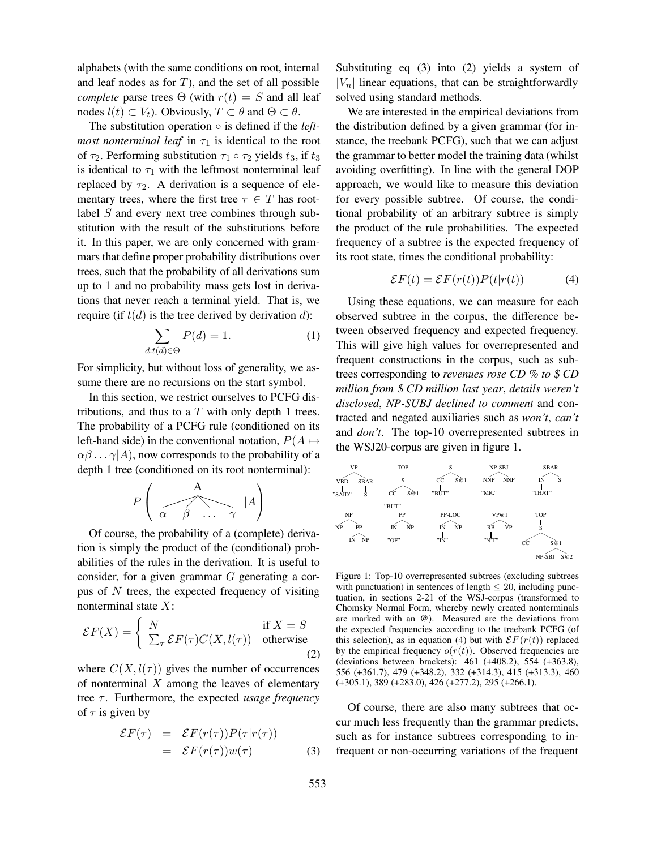alphabets (with the same conditions on root, internal and leaf nodes as for  $T$ ), and the set of all possible *complete* parse trees  $\Theta$  (with  $r(t) = S$  and all leaf nodes  $l(t) \subset V_t$ ). Obviously,  $T \subset \theta$  and  $\Theta \subset \theta$ .

The substitution operation ◦ is defined if the *leftmost nonterminal leaf* in  $\tau_1$  is identical to the root of  $\tau_2$ . Performing substitution  $\tau_1 \circ \tau_2$  yields  $t_3$ , if  $t_3$ is identical to  $\tau_1$  with the leftmost nonterminal leaf replaced by  $\tau_2$ . A derivation is a sequence of elementary trees, where the first tree  $\tau \in T$  has rootlabel S and every next tree combines through substitution with the result of the substitutions before it. In this paper, we are only concerned with grammars that define proper probability distributions over trees, such that the probability of all derivations sum up to 1 and no probability mass gets lost in derivations that never reach a terminal yield. That is, we require (if  $t(d)$  is the tree derived by derivation d):

$$
\sum_{d:t(d)\in\Theta} P(d) = 1.
$$
 (1)

For simplicity, but without loss of generality, we assume there are no recursions on the start symbol.

In this section, we restrict ourselves to PCFG distributions, and thus to a  $T$  with only depth 1 trees. The probability of a PCFG rule (conditioned on its left-hand side) in the conventional notation,  $P(A \mapsto$  $\alpha\beta \dots \gamma$ |A), now corresponds to the probability of a depth 1 tree (conditioned on its root nonterminal):

$$
P\left(\begin{array}{c}\mathbf{A} \\ \hline \mathbf{A} \\ \hline \mathbf{B} \\ \hline \mathbf{C} \end{array} \begin{array}{c}\mathbf{A} \\ \hline \mathbf{A} \\ \hline \mathbf{A} \\ \hline \mathbf{A} \end{array} \begin{array}{c}\mathbf{A} \\ \hline \mathbf{A} \\ \hline \mathbf{A} \end{array}\right)
$$

Of course, the probability of a (complete) derivation is simply the product of the (conditional) probabilities of the rules in the derivation. It is useful to consider, for a given grammar G generating a corpus of  $N$  trees, the expected frequency of visiting nonterminal state  $X$ :

$$
\mathcal{E}F(X) = \begin{cases} N & \text{if } X = S \\ \sum_{\tau} \mathcal{E}F(\tau)C(X, l(\tau)) & \text{otherwise} \end{cases}
$$
 (2)

where  $C(X, l(\tau))$  gives the number of occurrences of nonterminal  $X$  among the leaves of elementary tree *τ*. Furthermore, the expected *usage frequency* of  $\tau$  is given by

$$
\mathcal{E}F(\tau) = \mathcal{E}F(r(\tau))P(\tau|r(\tau))
$$
  
= 
$$
\mathcal{E}F(r(\tau))w(\tau)
$$
 (3)

Substituting eq (3) into (2) yields a system of  $|V_n|$  linear equations, that can be straightforwardly solved using standard methods.

We are interested in the empirical deviations from the distribution defined by a given grammar (for instance, the treebank PCFG), such that we can adjust the grammar to better model the training data (whilst avoiding overfitting). In line with the general DOP approach, we would like to measure this deviation for every possible subtree. Of course, the conditional probability of an arbitrary subtree is simply the product of the rule probabilities. The expected frequency of a subtree is the expected frequency of its root state, times the conditional probability:

$$
\mathcal{E}F(t) = \mathcal{E}F(r(t))P(t|r(t))\tag{4}
$$

Using these equations, we can measure for each observed subtree in the corpus, the difference between observed frequency and expected frequency. This will give high values for overrepresented and frequent constructions in the corpus, such as subtrees corresponding to *revenues rose CD % to* \$ *CD million from* \$ *CD million last year*, *details weren't disclosed*, *NP-SUBJ declined to comment* and contracted and negated auxiliaries such as *won't*, *can't* and *don't*. The top-10 overrepresented subtrees in the WSJ20-corpus are given in figure 1.



Figure 1: Top-10 overrepresented subtrees (excluding subtrees with punctuation) in sentences of length  $\leq 20$ , including punctuation, in sections 2-21 of the WSJ-corpus (transformed to Chomsky Normal Form, whereby newly created nonterminals are marked with an @). Measured are the deviations from the expected frequencies according to the treebank PCFG (of this selection), as in equation (4) but with  $\mathcal{E}F(r(t))$  replaced by the empirical frequency  $o(r(t))$ . Observed frequencies are (deviations between brackets): 461 (+408.2), 554 (+363.8), 556 (+361.7), 479 (+348.2), 332 (+314.3), 415 (+313.3), 460 (+305.1), 389 (+283.0), 426 (+277.2), 295 (+266.1).

Of course, there are also many subtrees that occur much less frequently than the grammar predicts, such as for instance subtrees corresponding to infrequent or non-occurring variations of the frequent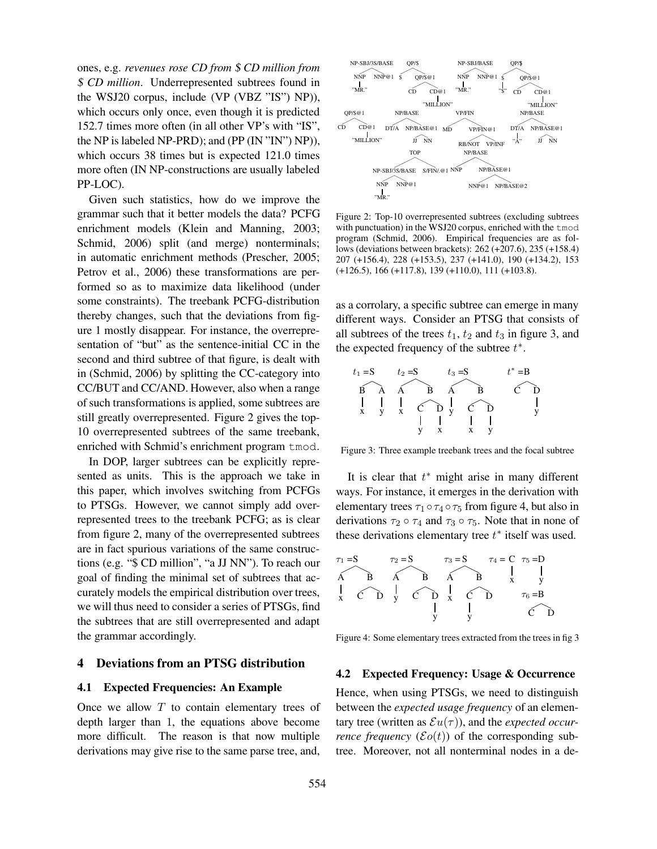ones, e.g. *revenues rose CD from* \$ *CD million from* \$ *CD million*. Underrepresented subtrees found in the WSJ20 corpus, include (VP (VBZ "IS") NP)), which occurs only once, even though it is predicted 152.7 times more often (in all other VP's with "IS", the NP is labeled NP-PRD); and (PP (IN "IN") NP)), which occurs 38 times but is expected 121.0 times more often (IN NP-constructions are usually labeled PP-LOC).

Given such statistics, how do we improve the grammar such that it better models the data? PCFG enrichment models (Klein and Manning, 2003; Schmid, 2006) split (and merge) nonterminals; in automatic enrichment methods (Prescher, 2005; Petrov et al., 2006) these transformations are performed so as to maximize data likelihood (under some constraints). The treebank PCFG-distribution thereby changes, such that the deviations from figure 1 mostly disappear. For instance, the overrepresentation of "but" as the sentence-initial CC in the second and third subtree of that figure, is dealt with in (Schmid, 2006) by splitting the CC-category into CC/BUT and CC/AND. However, also when a range of such transformations is applied, some subtrees are still greatly overrepresented. Figure 2 gives the top-10 overrepresented subtrees of the same treebank, enriched with Schmid's enrichment program tmod.

In DOP, larger subtrees can be explicitly represented as units. This is the approach we take in this paper, which involves switching from PCFGs to PTSGs. However, we cannot simply add overrepresented trees to the treebank PCFG; as is clear from figure 2, many of the overrepresented subtrees are in fact spurious variations of the same constructions (e.g. "\$ CD million", "a JJ NN"). To reach our goal of finding the minimal set of subtrees that accurately models the empirical distribution over trees, we will thus need to consider a series of PTSGs, find the subtrees that are still overrepresented and adapt the grammar accordingly.

### **4 Deviations from an PTSG distribution**

#### **4.1 Expected Frequencies: An Example**

Once we allow  $T$  to contain elementary trees of depth larger than 1, the equations above become more difficult. The reason is that now multiple derivations may give rise to the same parse tree, and,



Figure 2: Top-10 overrepresented subtrees (excluding subtrees with punctuation) in the WSJ20 corpus, enriched with the tmod program (Schmid, 2006). Empirical frequencies are as follows (deviations between brackets): 262 (+207.6), 235 (+158.4) 207 (+156.4), 228 (+153.5), 237 (+141.0), 190 (+134.2), 153 (+126.5), 166 (+117.8), 139 (+110.0), 111 (+103.8).

as a corrolary, a specific subtree can emerge in many different ways. Consider an PTSG that consists of all subtrees of the trees  $t_1$ ,  $t_2$  and  $t_3$  in figure 3, and the expected frequency of the subtree  $t^*$ .



Figure 3: Three example treebank trees and the focal subtree

It is clear that  $t^*$  might arise in many different ways. For instance, it emerges in the derivation with elementary trees  $\tau_1 \circ \tau_4 \circ \tau_5$  from figure 4, but also in derivations  $\tau_2 \circ \tau_4$  and  $\tau_3 \circ \tau_5$ . Note that in none of these derivations elementary tree  $t^*$  itself was used.



Figure 4: Some elementary trees extracted from the trees in fig 3

### **4.2 Expected Frequency: Usage & Occurrence**

Hence, when using PTSGs, we need to distinguish between the *expected usage frequency* of an elementary tree (written as  $\mathcal{E}u(\tau)$ ), and the *expected occurrence frequency* ( $\mathcal{E}o(t)$ ) of the corresponding subtree. Moreover, not all nonterminal nodes in a de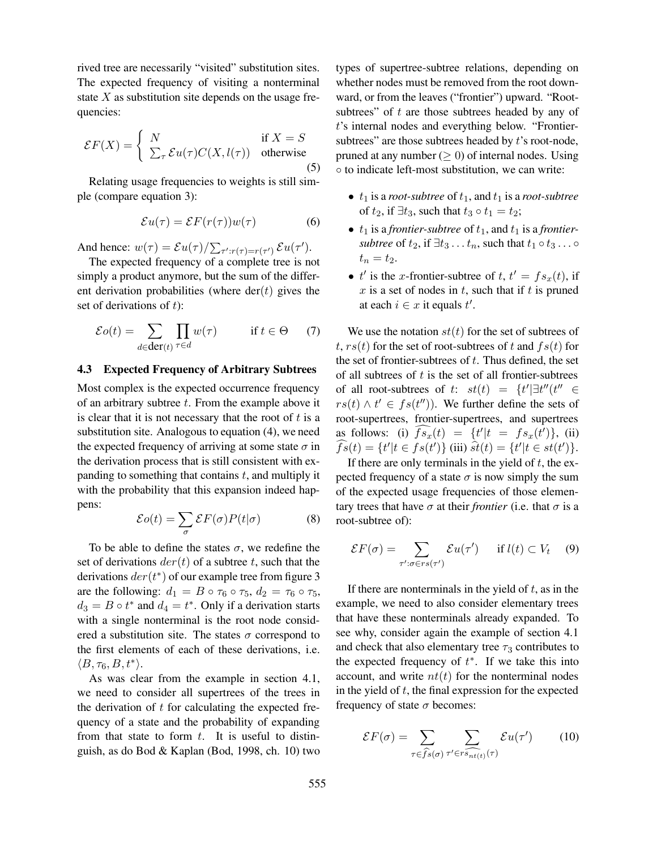rived tree are necessarily "visited" substitution sites. The expected frequency of visiting a nonterminal state  $X$  as substitution site depends on the usage frequencies:

$$
\mathcal{E}F(X) = \begin{cases} N & \text{if } X = S \\ \sum_{\tau} \mathcal{E}u(\tau)C(X, l(\tau)) & \text{otherwise} \end{cases}
$$
(5)

Relating usage frequencies to weights is still simple (compare equation 3):

$$
\mathcal{E}u(\tau) = \mathcal{E}F(r(\tau))w(\tau) \tag{6}
$$

And hence:  $w(\tau) = \mathcal{E}u(\tau) / \sum_{\tau':r(\tau)=r(\tau')} \mathcal{E}u(\tau').$ 

The expected frequency of a complete tree is not simply a product anymore, but the sum of the different derivation probabilities (where  $der(t)$  gives the set of derivations of  $t$ ):

$$
\mathcal{E}o(t) = \sum_{d \in \text{der}(t)} \prod_{\tau \in d} w(\tau) \quad \text{if } t \in \Theta \quad (7)
$$

#### **4.3 Expected Frequency of Arbitrary Subtrees**

Most complex is the expected occurrence frequency of an arbitrary subtree  $t$ . From the example above it is clear that it is not necessary that the root of  $t$  is a substitution site. Analogous to equation (4), we need the expected frequency of arriving at some state  $\sigma$  in the derivation process that is still consistent with expanding to something that contains  $t$ , and multiply it with the probability that this expansion indeed happens:

$$
\mathcal{E}o(t) = \sum_{\sigma} \mathcal{E}F(\sigma)P(t|\sigma)
$$
 (8)

To be able to define the states  $\sigma$ , we redefine the set of derivations  $der(t)$  of a subtree t, such that the derivations  $der(t^*)$  of our example tree from figure 3 are the following:  $d_1 = B \circ \tau_6 \circ \tau_5$ ,  $d_2 = \tau_6 \circ \tau_5$ ,  $d_3 = B \circ t^*$  and  $d_4 = t^*$ . Only if a derivation starts with a single nonterminal is the root node considered a substitution site. The states  $\sigma$  correspond to the first elements of each of these derivations, i.e.  $\langle B, \tau_6, B, t^* \rangle.$ 

As was clear from the example in section 4.1, we need to consider all supertrees of the trees in the derivation of  $t$  for calculating the expected frequency of a state and the probability of expanding from that state to form  $t$ . It is useful to distinguish, as do Bod & Kaplan (Bod, 1998, ch. 10) two types of supertree-subtree relations, depending on whether nodes must be removed from the root downward, or from the leaves ("frontier") upward. "Rootsubtrees" of  $t$  are those subtrees headed by any of t's internal nodes and everything below. "Frontiersubtrees" are those subtrees headed by  $t$ 's root-node, pruned at any number  $(> 0)$  of internal nodes. Using ◦ to indicate left-most substitution, we can write:

- $t_1$  is a *root-subtree* of  $t_1$ , and  $t_1$  is a *root-subtree* of  $t_2$ , if  $\exists t_3$ , such that  $t_3 \circ t_1 = t_2$ ;
- $t_1$  is a *frontier-subtree* of  $t_1$ , and  $t_1$  is a *frontiersubtree* of  $t_2$ , if  $\exists t_3 \dots t_n$ , such that  $t_1 \circ t_3 \dots \circ$  $t_n = t_2.$
- $t'$  is the x-frontier-subtree of  $t, t' = fs_x(t)$ , if x is a set of nodes in t, such that if t is pruned at each  $i \in x$  it equals  $t'$ .

We use the notation  $st(t)$  for the set of subtrees of t,  $rs(t)$  for the set of root-subtrees of t and  $fs(t)$  for the set of frontier-subtrees of  $t$ . Thus defined, the set of all subtrees of  $t$  is the set of all frontier-subtrees of all root-subtrees of t:  $st(t) = \{t' | \exists t'' (t'' \in$  $rs(t) \wedge t' \in fs(t'')$ ). We further define the sets of root-supertrees, frontier-supertrees, and supertrees as follows: (i)  $\widehat{fs_x}(t) = \{t'|t = fs_x(t')\},$  (ii)  $\widehat{fs}(t) = \{t'|t \in fs(t')\}$  (iii)  $\hat{st}(t) = \{t'|t \in st(t')\}.$ 

If there are only terminals in the yield of  $t$ , the expected frequency of a state  $\sigma$  is now simply the sum of the expected usage frequencies of those elementary trees that have  $\sigma$  at their *frontier* (i.e. that  $\sigma$  is a root-subtree of):

$$
\mathcal{E}F(\sigma) = \sum_{\tau': \sigma \in rs(\tau')} \mathcal{E}u(\tau') \quad \text{if } l(t) \subset V_t \quad (9)
$$

If there are nonterminals in the yield of  $t$ , as in the example, we need to also consider elementary trees that have these nonterminals already expanded. To see why, consider again the example of section 4.1 and check that also elementary tree  $\tau_3$  contributes to the expected frequency of  $t^*$ . If we take this into account, and write  $nt(t)$  for the nonterminal nodes in the yield of  $t$ , the final expression for the expected frequency of state  $\sigma$  becomes:

$$
\mathcal{E}F(\sigma) = \sum_{\tau \in \widehat{f}\widehat{s}(\sigma)} \sum_{\tau' \in \widehat{r}\widehat{s_{nt}(t)}(\tau)} \mathcal{E}u(\tau') \qquad (10)
$$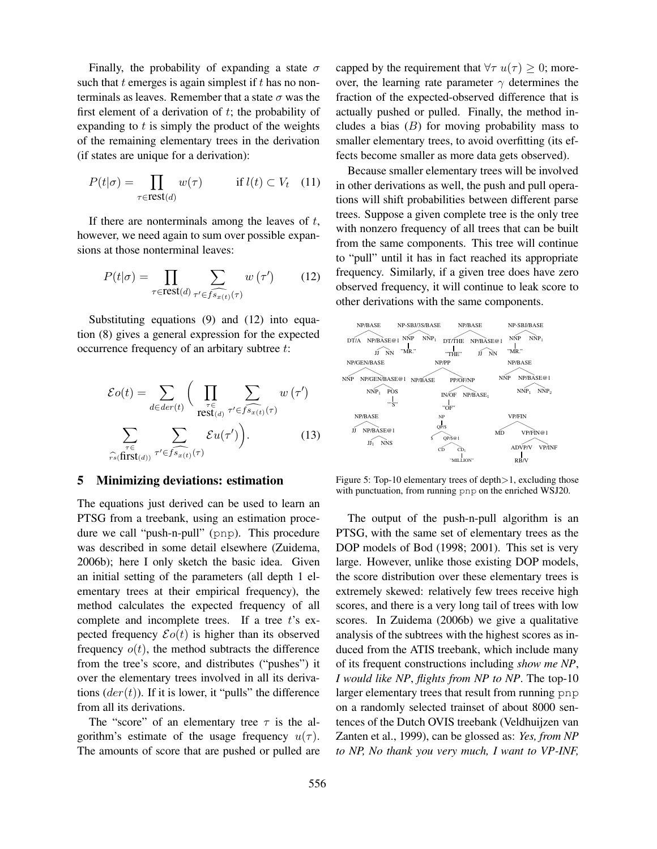Finally, the probability of expanding a state  $\sigma$ such that  $t$  emerges is again simplest if  $t$  has no nonterminals as leaves. Remember that a state  $\sigma$  was the first element of a derivation of  $t$ ; the probability of expanding to  $t$  is simply the product of the weights of the remaining elementary trees in the derivation (if states are unique for a derivation):

$$
P(t|\sigma) = \prod_{\tau \in \text{rest}(d)} w(\tau) \qquad \text{if } l(t) \subset V_t \quad (11)
$$

If there are nonterminals among the leaves of  $t$ , however, we need again to sum over possible expansions at those nonterminal leaves:

$$
P(t|\sigma) = \prod_{\tau \in \text{rest}(d)} \sum_{\tau' \in \widehat{fs_{x(t)}}(\tau)} w(\tau') \qquad (12)
$$

Substituting equations (9) and (12) into equation (8) gives a general expression for the expected occurrence frequency of an arbitary subtree t:

$$
\mathcal{E}o(t) = \sum_{d \in der(t)} \Bigg( \prod_{\substack{\tau \in \text{est}(d) \\ \text{rest}(d)}} \sum_{\tau' \in f \widehat{s_{x(t)}}(\tau)} w(\tau') \Bigg)
$$

$$
\sum_{\tau \in (\text{first}(d))} \sum_{\tau' \in f \widehat{s_{x(t)}}(\tau)} \mathcal{E}u(\tau') \Bigg). \tag{13}
$$

#### **5 Minimizing deviations: estimation**

The equations just derived can be used to learn an PTSG from a treebank, using an estimation procedure we call "push-n-pull" (pnp). This procedure was described in some detail elsewhere (Zuidema, 2006b); here I only sketch the basic idea. Given an initial setting of the parameters (all depth 1 elementary trees at their empirical frequency), the method calculates the expected frequency of all complete and incomplete trees. If a tree  $t$ 's expected frequency  $\mathcal{E}o(t)$  is higher than its observed frequency  $o(t)$ , the method subtracts the difference from the tree's score, and distributes ("pushes") it over the elementary trees involved in all its derivations  $der(t)$ ). If it is lower, it "pulls" the difference from all its derivations.

The "score" of an elementary tree  $\tau$  is the algorithm's estimate of the usage frequency  $u(\tau)$ . The amounts of score that are pushed or pulled are capped by the requirement that  $\forall \tau u(\tau) \geq 0$ ; moreover, the learning rate parameter  $\gamma$  determines the fraction of the expected-observed difference that is actually pushed or pulled. Finally, the method includes a bias  $(B)$  for moving probability mass to smaller elementary trees, to avoid overfitting (its effects become smaller as more data gets observed).

Because smaller elementary trees will be involved in other derivations as well, the push and pull operations will shift probabilities between different parse trees. Suppose a given complete tree is the only tree with nonzero frequency of all trees that can be built from the same components. This tree will continue to "pull" until it has in fact reached its appropriate frequency. Similarly, if a given tree does have zero observed frequency, it will continue to leak score to other derivations with the same components.



Figure 5: Top-10 elementary trees of depth>1, excluding those with punctuation, from running pnp on the enriched WSJ20.

The output of the push-n-pull algorithm is an PTSG, with the same set of elementary trees as the DOP models of Bod (1998; 2001). This set is very large. However, unlike those existing DOP models, the score distribution over these elementary trees is extremely skewed: relatively few trees receive high scores, and there is a very long tail of trees with low scores. In Zuidema (2006b) we give a qualitative analysis of the subtrees with the highest scores as induced from the ATIS treebank, which include many of its frequent constructions including *show me NP*, *I would like NP*, *flights from NP to NP*. The top-10 larger elementary trees that result from running pnp on a randomly selected trainset of about 8000 sentences of the Dutch OVIS treebank (Veldhuijzen van Zanten et al., 1999), can be glossed as: *Yes, from NP to NP, No thank you very much, I want to VP-INF,*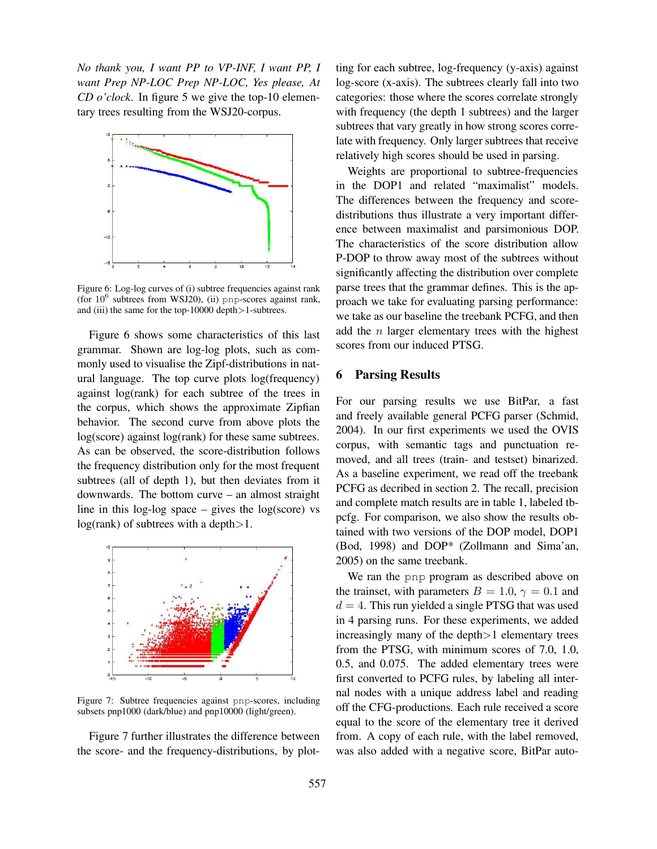*No thank you, I want PP to VP-INF, I want PP, I want Prep NP-LOC Prep NP-LOC, Yes please, At CD o'clock*. In figure 5 we give the top-10 elementary trees resulting from the WSJ20-corpus.



Figure 6: Log-log curves of (i) subtree frequencies against rank (for  $10^6$  subtrees from WSJ20), (ii) pnp-scores against rank, and (iii) the same for the top-10000 depth>1-subtrees.

Figure 6 shows some characteristics of this last grammar. Shown are log-log plots, such as commonly used to visualise the Zipf-distributions in natural language. The top curve plots log(frequency) against log(rank) for each subtree of the trees in the corpus, which shows the approximate Zipfian behavior. The second curve from above plots the log(score) against log(rank) for these same subtrees. As can be observed, the score-distribution follows the frequency distribution only for the most frequent subtrees (all of depth 1), but then deviates from it downwards. The bottom curve – an almost straight line in this log-log space  $-$  gives the log(score) vs  $log(rank)$  of subtrees with a depth $>1$ .



Figure 7: Subtree frequencies against pnp-scores, including subsets pnp1000 (dark/blue) and pnp10000 (light/green).

Figure 7 further illustrates the difference between the score- and the frequency-distributions, by plotting for each subtree, log-frequency (y-axis) against log-score (x-axis). The subtrees clearly fall into two categories: those where the scores correlate strongly with frequency (the depth 1 subtrees) and the larger subtrees that vary greatly in how strong scores correlate with frequency. Only larger subtrees that receive relatively high scores should be used in parsing.

Weights are proportional to subtree-frequencies in the DOP1 and related "maximalist" models. The differences between the frequency and scoredistributions thus illustrate a very important difference between maximalist and parsimonious DOP. The characteristics of the score distribution allow P-DOP to throw away most of the subtrees without significantly affecting the distribution over complete parse trees that the grammar defines. This is the approach we take for evaluating parsing performance: we take as our baseline the treebank PCFG, and then add the  $n$  larger elementary trees with the highest scores from our induced PTSG.

### **6 Parsing Results**

For our parsing results we use BitPar, a fast and freely available general PCFG parser (Schmid, 2004). In our first experiments we used the OVIS corpus, with semantic tags and punctuation removed, and all trees (train- and testset) binarized. As a baseline experiment, we read off the treebank PCFG as decribed in section 2. The recall, precision and complete match results are in table 1, labeled tbpcfg. For comparison, we also show the results obtained with two versions of the DOP model, DOP1 (Bod, 1998) and DOP\* (Zollmann and Sima'an, 2005) on the same treebank.

We ran the pnp program as described above on the trainset, with parameters  $B = 1.0$ ,  $\gamma = 0.1$  and  $d = 4$ . This run yielded a single PTSG that was used in 4 parsing runs. For these experiments, we added increasingly many of the depth>1 elementary trees from the PTSG, with minimum scores of 7.0, 1.0, 0.5, and 0.075. The added elementary trees were first converted to PCFG rules, by labeling all internal nodes with a unique address label and reading off the CFG-productions. Each rule received a score equal to the score of the elementary tree it derived from. A copy of each rule, with the label removed, was also added with a negative score, BitPar auto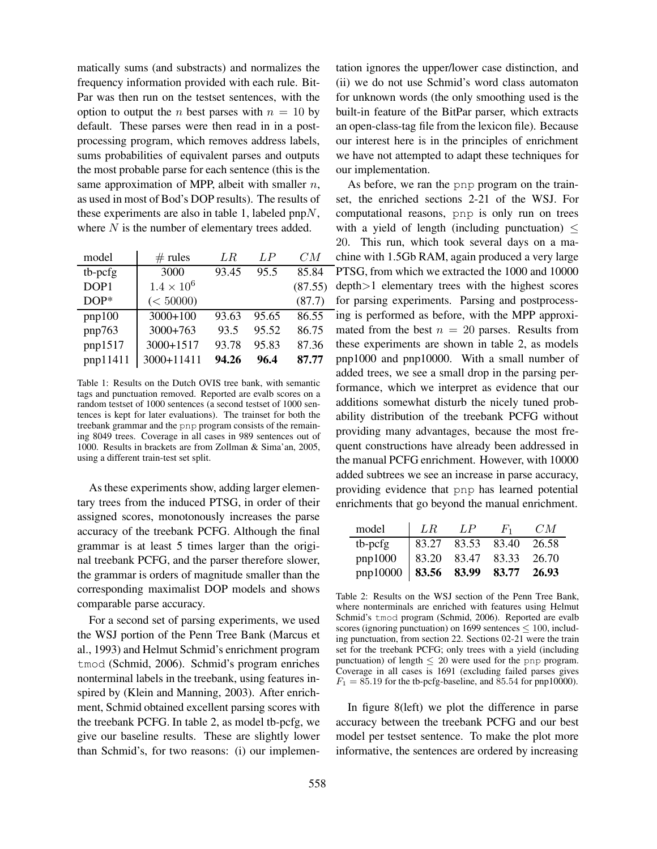matically sums (and substracts) and normalizes the frequency information provided with each rule. Bit-Par was then run on the testset sentences, with the option to output the *n* best parses with  $n = 10$  by default. These parses were then read in in a postprocessing program, which removes address labels, sums probabilities of equivalent parses and outputs the most probable parse for each sentence (this is the same approximation of MPP, albeit with smaller  $n$ , as used in most of Bod's DOP results). The results of these experiments are also in table 1, labeled  $pnpN$ , where  $N$  is the number of elementary trees added.

| model    | $#$ rules           | LR.   | LP    | CM      |
|----------|---------------------|-------|-------|---------|
| tb-pcfg  | 3000                | 93.45 | 95.5  | 85.84   |
| DOP1     | $1.4 \times 10^{6}$ |       |       | (87.55) |
| $DOP*$   | (< 50000)           |       |       | (87.7)  |
| pnp100   | $3000+100$          | 93.63 | 95.65 | 86.55   |
| pnp763   | $3000+763$          | 93.5  | 95.52 | 86.75   |
| pnp1517  | 3000+1517           | 93.78 | 95.83 | 87.36   |
| pnp11411 | 3000+11411          | 94.26 | 96.4  | 87.77   |

Table 1: Results on the Dutch OVIS tree bank, with semantic tags and punctuation removed. Reported are evalb scores on a random testset of 1000 sentences (a second testset of 1000 sentences is kept for later evaluations). The trainset for both the treebank grammar and the pnp program consists of the remaining 8049 trees. Coverage in all cases in 989 sentences out of 1000. Results in brackets are from Zollman & Sima'an, 2005, using a different train-test set split.

As these experiments show, adding larger elementary trees from the induced PTSG, in order of their assigned scores, monotonously increases the parse accuracy of the treebank PCFG. Although the final grammar is at least 5 times larger than the original treebank PCFG, and the parser therefore slower, the grammar is orders of magnitude smaller than the corresponding maximalist DOP models and shows comparable parse accuracy.

For a second set of parsing experiments, we used the WSJ portion of the Penn Tree Bank (Marcus et al., 1993) and Helmut Schmid's enrichment program tmod (Schmid, 2006). Schmid's program enriches nonterminal labels in the treebank, using features inspired by (Klein and Manning, 2003). After enrichment, Schmid obtained excellent parsing scores with the treebank PCFG. In table 2, as model tb-pcfg, we give our baseline results. These are slightly lower than Schmid's, for two reasons: (i) our implementation ignores the upper/lower case distinction, and (ii) we do not use Schmid's word class automaton for unknown words (the only smoothing used is the built-in feature of the BitPar parser, which extracts an open-class-tag file from the lexicon file). Because our interest here is in the principles of enrichment we have not attempted to adapt these techniques for our implementation.

As before, we ran the pnp program on the trainset, the enriched sections 2-21 of the WSJ. For computational reasons, pnp is only run on trees with a yield of length (including punctuation)  $\leq$ 20. This run, which took several days on a machine with 1.5Gb RAM, again produced a very large PTSG, from which we extracted the 1000 and 10000 depth>1 elementary trees with the highest scores for parsing experiments. Parsing and postprocessing is performed as before, with the MPP approximated from the best  $n = 20$  parses. Results from these experiments are shown in table 2, as models pnp1000 and pnp10000. With a small number of added trees, we see a small drop in the parsing performance, which we interpret as evidence that our additions somewhat disturb the nicely tuned probability distribution of the treebank PCFG without providing many advantages, because the most frequent constructions have already been addressed in the manual PCFG enrichment. However, with 10000 added subtrees we see an increase in parse accuracy, providing evidence that pnp has learned potential enrichments that go beyond the manual enrichment.

| model                                                                                | L R | LP - | $F_1$ | CM    |
|--------------------------------------------------------------------------------------|-----|------|-------|-------|
|                                                                                      |     |      |       | 26.58 |
|                                                                                      |     |      |       | 26.70 |
| tb-pcfg 83.27 83.53 83.40<br>pnp1000 83.20 83.47 83.33<br>pnp10000 83.56 83.99 83.77 |     |      |       | 26.93 |

Table 2: Results on the WSJ section of the Penn Tree Bank, where nonterminals are enriched with features using Helmut Schmid's tmod program (Schmid, 2006). Reported are evalb scores (ignoring punctuation) on 1699 sentences  $\leq 100$ , including punctuation, from section 22. Sections 02-21 were the train set for the treebank PCFG; only trees with a yield (including punctuation) of length  $\leq 20$  were used for the pnp program. Coverage in all cases is 1691 (excluding failed parses gives  $F_1 = 85.19$  for the tb-pcfg-baseline, and 85.54 for pnp10000).

In figure 8(left) we plot the difference in parse accuracy between the treebank PCFG and our best model per testset sentence. To make the plot more informative, the sentences are ordered by increasing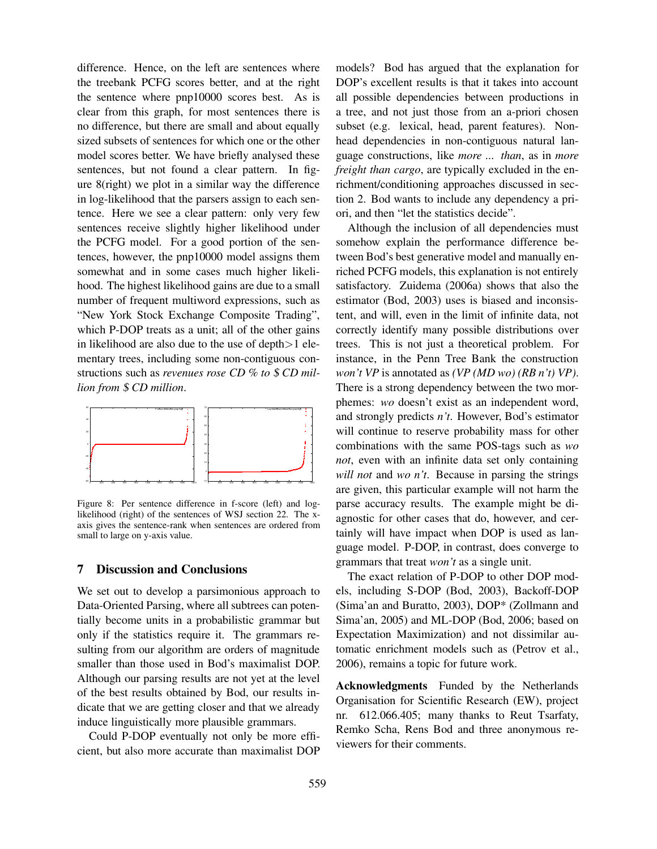difference. Hence, on the left are sentences where the treebank PCFG scores better, and at the right the sentence where pnp10000 scores best. As is clear from this graph, for most sentences there is no difference, but there are small and about equally sized subsets of sentences for which one or the other model scores better. We have briefly analysed these sentences, but not found a clear pattern. In figure 8(right) we plot in a similar way the difference in log-likelihood that the parsers assign to each sentence. Here we see a clear pattern: only very few sentences receive slightly higher likelihood under the PCFG model. For a good portion of the sentences, however, the pnp10000 model assigns them somewhat and in some cases much higher likelihood. The highest likelihood gains are due to a small number of frequent multiword expressions, such as "New York Stock Exchange Composite Trading", which P-DOP treats as a unit; all of the other gains in likelihood are also due to the use of depth $>1$  elementary trees, including some non-contiguous constructions such as *revenues rose CD % to* \$ *CD million from* \$ *CD million*.



Figure 8: Per sentence difference in f-score (left) and loglikelihood (right) of the sentences of WSJ section 22. The xaxis gives the sentence-rank when sentences are ordered from small to large on y-axis value.

### **7 Discussion and Conclusions**

We set out to develop a parsimonious approach to Data-Oriented Parsing, where all subtrees can potentially become units in a probabilistic grammar but only if the statistics require it. The grammars resulting from our algorithm are orders of magnitude smaller than those used in Bod's maximalist DOP. Although our parsing results are not yet at the level of the best results obtained by Bod, our results indicate that we are getting closer and that we already induce linguistically more plausible grammars.

Could P-DOP eventually not only be more efficient, but also more accurate than maximalist DOP models? Bod has argued that the explanation for DOP's excellent results is that it takes into account all possible dependencies between productions in a tree, and not just those from an a-priori chosen subset (e.g. lexical, head, parent features). Nonhead dependencies in non-contiguous natural language constructions, like *more ... than*, as in *more freight than cargo*, are typically excluded in the enrichment/conditioning approaches discussed in section 2. Bod wants to include any dependency a priori, and then "let the statistics decide".

Although the inclusion of all dependencies must somehow explain the performance difference between Bod's best generative model and manually enriched PCFG models, this explanation is not entirely satisfactory. Zuidema (2006a) shows that also the estimator (Bod, 2003) uses is biased and inconsistent, and will, even in the limit of infinite data, not correctly identify many possible distributions over trees. This is not just a theoretical problem. For instance, in the Penn Tree Bank the construction *won't VP* is annotated as *(VP (MD wo) (RB n't) VP)*. There is a strong dependency between the two morphemes: *wo* doesn't exist as an independent word, and strongly predicts *n't*. However, Bod's estimator will continue to reserve probability mass for other combinations with the same POS-tags such as *wo not*, even with an infinite data set only containing *will not* and *wo n't*. Because in parsing the strings are given, this particular example will not harm the parse accuracy results. The example might be diagnostic for other cases that do, however, and certainly will have impact when DOP is used as language model. P-DOP, in contrast, does converge to grammars that treat *won't* as a single unit.

The exact relation of P-DOP to other DOP models, including S-DOP (Bod, 2003), Backoff-DOP (Sima'an and Buratto, 2003), DOP\* (Zollmann and Sima'an, 2005) and ML-DOP (Bod, 2006; based on Expectation Maximization) and not dissimilar automatic enrichment models such as (Petrov et al., 2006), remains a topic for future work.

**Acknowledgments** Funded by the Netherlands Organisation for Scientific Research (EW), project nr. 612.066.405; many thanks to Reut Tsarfaty, Remko Scha, Rens Bod and three anonymous reviewers for their comments.